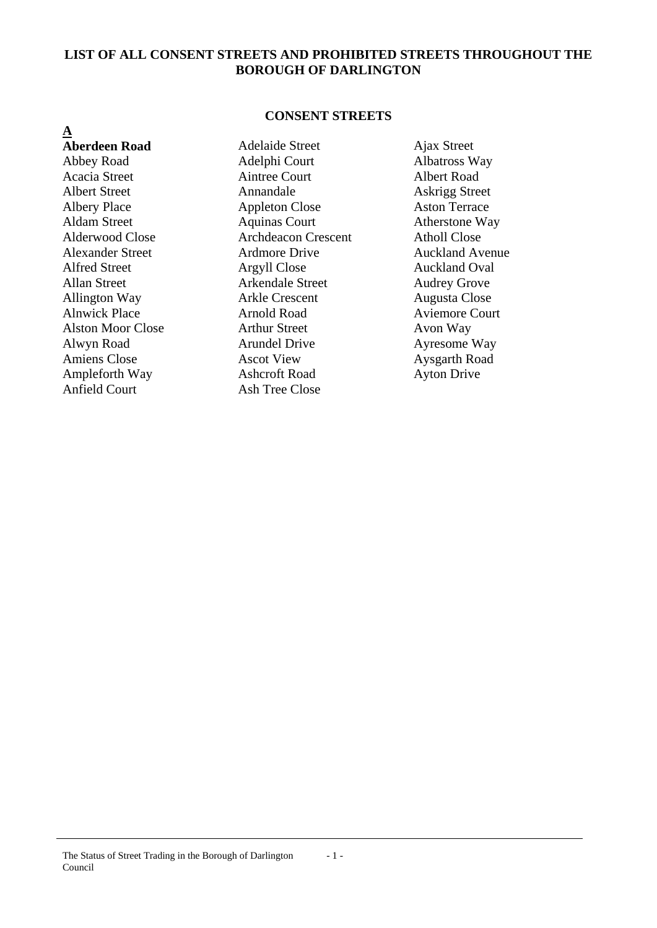### **LIST OF ALL CONSENT STREETS AND PROHIBITED STREETS THROUGHOUT THE BOROUGH OF DARLINGTON**

#### **CONSENT STREETS**

**A Aberdeen Road Adelaide Street** Ajax Street Anfield Court Ash Tree Close

Abbey Road Adelphi Court Albatross Way Acacia Street Aintree Court Albert Road Albert Street Annandale Askrigg Street Albery Place Appleton Close Aston Terrace Aldam Street Aquinas Court Atherstone Way Alderwood Close **Archdeacon Crescent** Atholl Close Alexander Street Ardmore Drive Auckland Avenue Alfred Street **Argyll Close** Auckland Oval Allan Street Arkendale Street Audrey Grove Allington Way **Arkle Crescent** Augusta Close Alnwick Place **Arnold Road** Aviemore Court Alston Moor Close **Arthur Street** Avon Way Alwyn Road Arundel Drive Ayresome Way Amiens Close **Ascot View** Ascot View **Aysgarth Road** Ampleforth Way **Ashcroft Road** Ayton Drive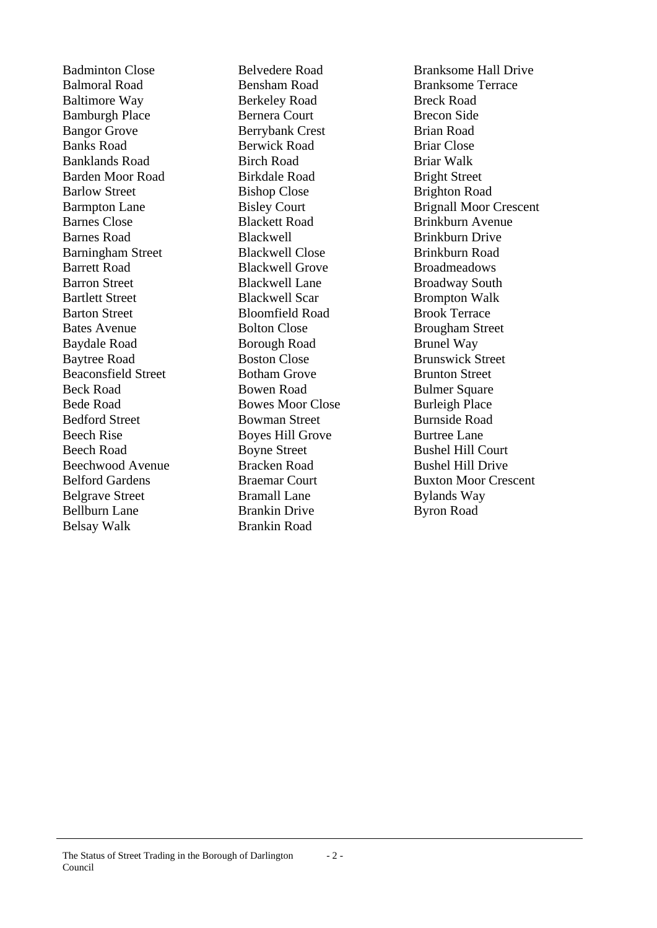Balmoral Road Bensham Road Branksome Terrace Baltimore Way **Berkeley Road** Breck Road **Breck Road** Bamburgh Place Bernera Court Brecon Side Bangor Grove Berrybank Crest Brian Road Banks Road Berwick Road Briar Close Banklands Road Birch Road Briar Walk Barden Moor Road Birkdale Road Bright Street Barlow Street Bishop Close Brighton Road Barnes Close Blackett Road Brinkburn Avenue Barnes Road Blackwell Brinkburn Drive Barningham Street Blackwell Close Brinkburn Road Barrett Road Blackwell Grove Broadmeadows Barron Street Blackwell Lane Broadway South Bartlett Street Blackwell Scar Brompton Walk Barton Street Bloomfield Road Brook Terrace Bates Avenue **Bolton Close** Brougham Street Baydale Road Borough Road Brunel Way Baytree Road Boston Close Brunswick Street Beaconsfield Street Botham Grove Brunton Street Beck Road Bowen Road Bulmer Square Bede Road Bowes Moor Close Burleigh Place Bedford Street Bowman Street Burnside Road Beech Rise Boyes Hill Grove Burtree Lane Beech Road Boyne Street Bushel Hill Court Beechwood Avenue Bracken Road Bushel Hill Drive Belgrave Street Bramall Lane Bylands Way Bellburn Lane Brankin Drive Byron Road Belsay Walk Brankin Road

Badminton Close Belvedere Road Branksome Hall Drive Barmpton Lane Bisley Court Brignall Moor Crescent Belford Gardens Braemar Court Buxton Moor Crescent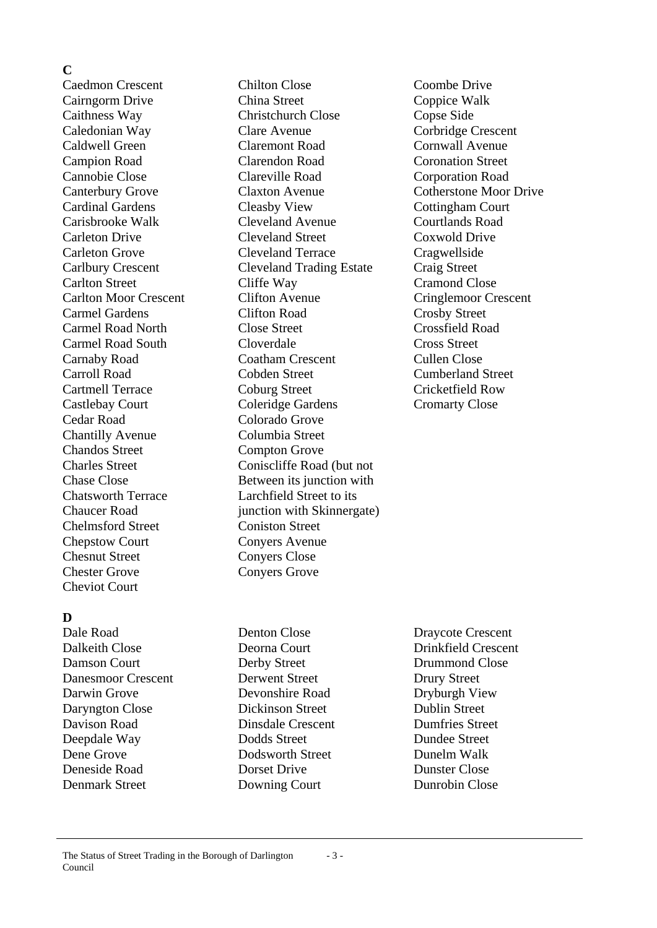#### **C**

Cedar Road Colorado Grove Chantilly Avenue Columbia Street Chandos Street Compton Grove Chelmsford Street Coniston Street Chepstow Court Convers Avenue Chesnut Street Convers Close Chester Grove Conyers Grove Cheviot Court

## **D**

Dalkeith Close Deorna Court Drinkfield Crescent Damson Court **Derby Street** Drummond Close Danesmoor Crescent Derwent Street Drury Street Darwin Grove Devonshire Road Dryburgh View Daryngton Close Dickinson Street Dublin Street Davison Road Dinsdale Crescent Dumfries Street Deepdale Way Dodds Street Dundee Street Dene Grove Dodsworth Street Dunelm Walk Deneside Road Dorset Drive Dunster Close Denmark Street Downing Court Dunrobin Close

Caedmon Crescent Chilton Close Coombe Drive Cairngorm Drive China Street Coppice Walk Caithness Way Christchurch Close Copse Side Caledonian Way Clare Avenue Corbridge Crescent Caldwell Green Claremont Road Cornwall Avenue Campion Road Clarendon Road Coronation Street Cannobie Close Clareville Road Corporation Road Canterbury Grove Claxton Avenue Cotherstone Moor Drive Cardinal Gardens Cleasby View Cottingham Court Carisbrooke Walk Cleveland Avenue Courtlands Road Carleton Drive Cleveland Street Coxwold Drive Carleton Grove Cleveland Terrace Cragwellside Carlbury Crescent Cleveland Trading Estate Craig Street Carlton Street Cliffe Way Cramond Close Carlton Moor Crescent Clifton Avenue Cringlemoor Crescent Carmel Gardens Clifton Road Crosby Street Carmel Road North Close Street Crossfield Road Carmel Road South Cloverdale Cross Street Carnaby Road Coatham Crescent Cullen Close Carroll Road Cobden Street Cumberland Street Cartmell Terrace Coburg Street Cricketfield Row Castlebay Court Coleridge Gardens Cromarty Close Charles Street Coniscliffe Road (but not Chase Close Between its junction with Chatsworth Terrace Larchfield Street to its Chaucer Road iunction with Skinnergate)

Dale Road Denton Close Draycote Crescent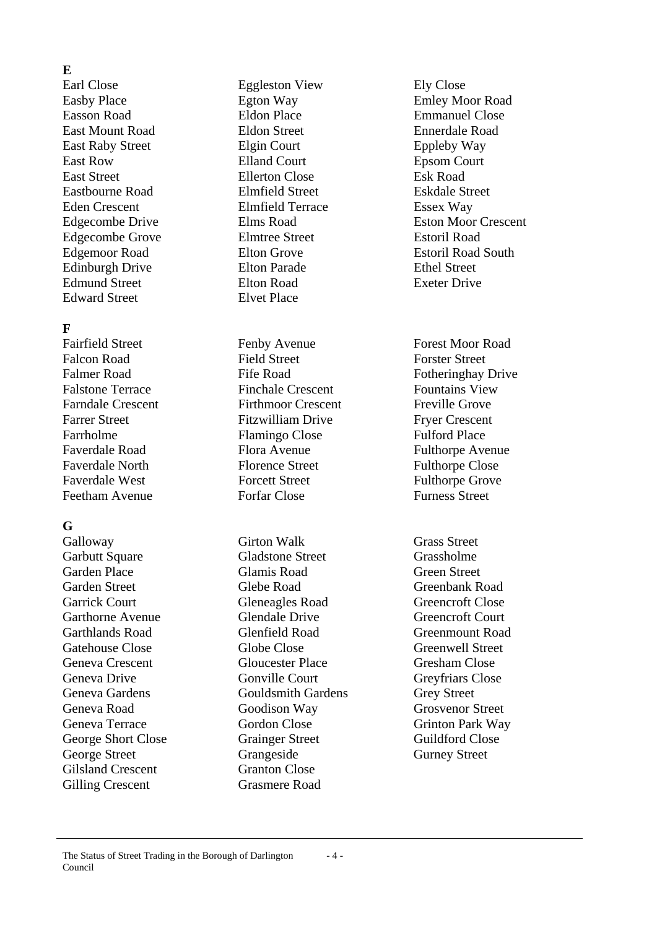## **E**

Earl Close Eggleston View Ely Close Easson Road Eldon Place Emmanuel Close East Mount Road Eldon Street Ennerdale Road East Raby Street Elgin Court Eppleby Way East Row Elland Court Epsom Court East Street Ellerton Close Esk Road Eastbourne Road Elmfield Street Eskdale Street Eden Crescent Elmfield Terrace Essex Way Edgecombe Grove Elmtree Street Estoril Road Edinburgh Drive Elton Parade Ethel Street Edmund Street Elton Road Exeter Drive Edward Street Elvet Place

## **F**

## **G**

Gilsland Crescent Granton Close Gilling Crescent Grasmere Road

Falcon Road Field Street Forster Street Falstone Terrace Finchale Crescent Fountains View Farndale Crescent Firthmoor Crescent Freville Grove Farrer Street Fitzwilliam Drive Fryer Crescent Farrholme Flamingo Close Fulford Place Faverdale Road Flora Avenue Fulthorpe Avenue Faverdale North Florence Street Fulthorpe Close Faverdale West Forcett Street Fulthorpe Grove Feetham Avenue Forfar Close Furness Street

Galloway **Girton Walk** Grass Street Garbutt Square **Gladstone Street** Grassholme Garden Place Glamis Road Green Street Garden Street Glebe Road Greenbank Road Garrick Court Gleneagles Road Greencroft Close Garthorne Avenue Glendale Drive Greencroft Court Garthlands Road Glenfield Road Greenmount Road Gatehouse Close Globe Close Greenwell Street Geneva Crescent Gloucester Place Gresham Close Geneva Drive Gonville Court Greyfriars Close Geneva Gardens Gouldsmith Gardens Grey Street Geneva Road Goodison Way Grosvenor Street Geneva Terrace Gordon Close Grinton Park Way George Short Close Grainger Street Guildford Close George Street Grangeside Grangeside Gurney Street

Easby Place Egton Way Emley Moor Road Edgecombe Drive Elms Road Eston Moor Crescent Edgemoor Road Elton Grove Estoril Road South

Fairfield Street Fenby Avenue Forest Moor Road Falmer Road Fife Road Figure Fotheringhay Drive

#### The Status of Street Trading in the Borough of Darlington Council - 4 -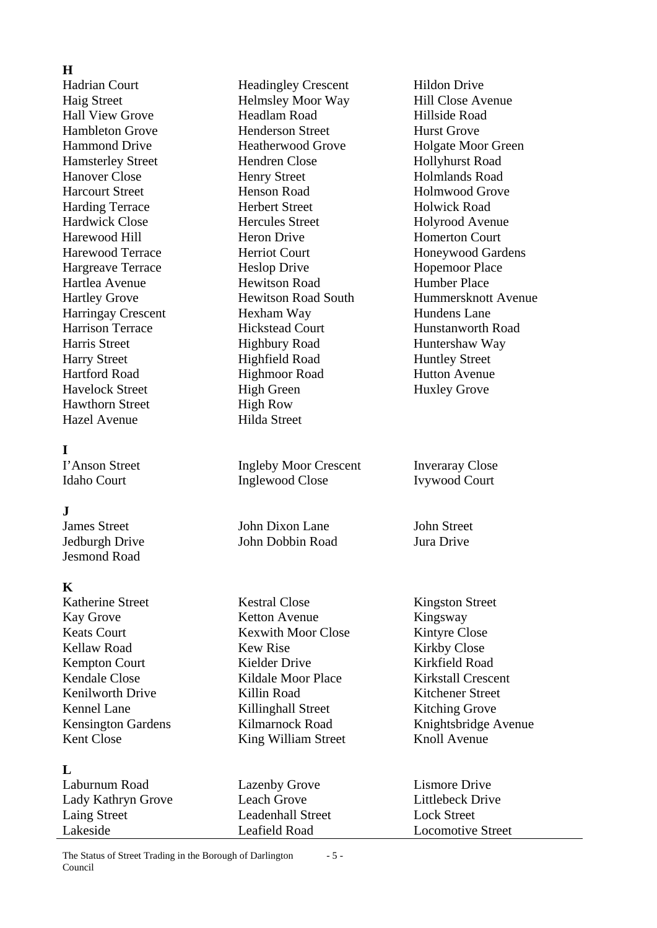## **H**

Hadrian Court Headingley Crescent Hildon Drive Hawthorn Street High Row Hazel Avenue Hilda Street

### **I**

## $\mathbf{J}$

Jesmond Road

#### **K**

## **L**

Haig Street **Helmsley Moor Way** Hill Close Avenue Hall View Grove Headlam Road Hillside Road Hambleton Grove Henderson Street Hurst Grove Hammond Drive Heatherwood Grove Holgate Moor Green Hamsterley Street Hendren Close Hollyhurst Road Hanover Close Henry Street Holmlands Road Harcourt Street Henson Road Holmwood Grove Harding Terrace Herbert Street Holwick Road Hardwick Close Hercules Street Holyrood Avenue Harewood Hill **Heron Drive** Homerton Court Harewood Terrace **Herriot Court** Honeywood Gardens Hargreave Terrace Heslop Drive Hopemoor Place Hartlea Avenue Hewitson Road Humber Place Harringay Crescent Hexham Way Hundens Lane Harrison Terrace **Hickstead Court** Hunstanworth Road Harris Street Highbury Road Huntershaw Way Harry Street Highfield Road Huntley Street Hartford Road Highmoor Road Hutton Avenue Havelock Street High Green Huxley Grove

I'Anson Street Ingleby Moor Crescent Inveraray Close Idaho Court Inglewood Close Ivywood Court

Values Street John Dixon Lane John Street<br>
John Dixon Lane John Street<br>
John Dixon Lane John Street<br>
John Dixon Lane John Street Jedburgh Drive John Dobbin Road

Katherine Street Kestral Close Kingston Street Kay Grove Ketton Avenue Kingsway Keats Court Kexwith Moor Close Kintyre Close Kellaw Road Kew Rise Kirkby Close Kempton Court Kielder Drive Kirkfield Road Kendale Close Kildale Moor Place Kirkstall Crescent Kenilworth Drive Killin Road Kitchener Street Kennel Lane Killinghall Street Kitching Grove Kent Close King William Street Knoll Avenue

Laburnum Road Lazenby Grove Lismore Drive Lady Kathryn Grove Leach Grove Littlebeck Drive Laing Street Leadenhall Street Lock Street Lakeside Leafield Road Locomotive Street

Hartley Grove Hewitson Road South Hummersknott Avenue

Kensington Gardens Kilmarnock Road Knightsbridge Avenue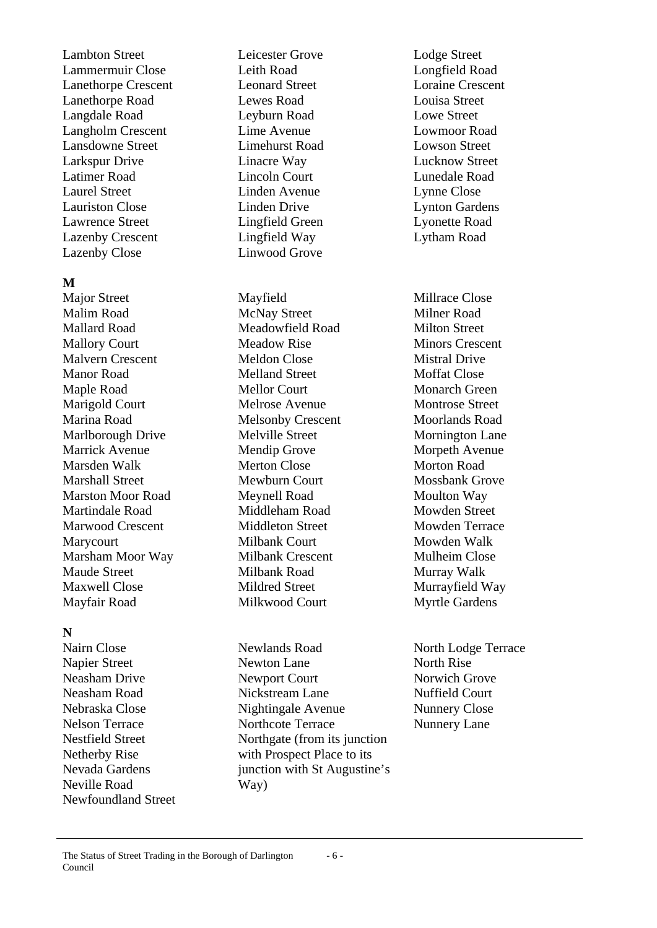Lambton Street Leicester Grove Lodge Street Lammermuir Close Leith Road Longfield Road Lanethorpe Crescent Leonard Street Loraine Crescent Lanethorpe Road Lewes Road Louisa Street Langdale Road Leyburn Road Lowe Street Langholm Crescent Lime Avenue Lowmoor Road Lansdowne Street Limehurst Road Lowson Street Larkspur Drive Linacre Way Lucknow Street Latimer Road Lincoln Court Lunedale Road Laurel Street Linden Avenue Lynne Close Lauriston Close Linden Drive Lynton Gardens Lawrence Street Lingfield Green Lyonette Road Lazenby Crescent Lingfield Way Lytham Road Lazenby Close Linwood Grove

#### **M**

Major Street Mayfield Millrace Close Malim Road McNay Street Milner Road Mallard Road Meadowfield Road Milton Street Mallory Court Meadow Rise Minors Crescent Malvern Crescent Meldon Close Mistral Drive Manor Road Melland Street Moffat Close Maple Road Mellor Court Monarch Green Marigold Court Melrose Avenue Montrose Street Marina Road Melsonby Crescent Moorlands Road Marlborough Drive Melville Street Mornington Lane Marrick Avenue Mendip Grove Morpeth Avenue Marsden Walk Merton Close Morton Road Marshall Street Mewburn Court Mossbank Grove Marston Moor Road Meynell Road Moulton Way Martindale Road Middleham Road Mowden Street Marwood Crescent Middleton Street Mowden Terrace Marycourt Milbank Court Mowden Walk Marsham Moor Way Milbank Crescent Mulheim Close Maude Street Milbank Road Murray Walk Maxwell Close Mildred Street Murrayfield Way Mayfair Road Milkwood Court Myrtle Gardens

## **N**

Neville Road Way) Newfoundland Street

Nairn Close Newlands Road North Lodge Terrace Napier Street Newton Lane North Rise Neasham Drive Newport Court Norwich Grove Neasham Road Nickstream Lane Nuffield Court Nebraska Close Nightingale Avenue Nunnery Close Nelson Terrace Northcote Terrace Nunnery Lane Nestfield Street Northgate (from its junction Netherby Rise with Prospect Place to its Nevada Gardens iunction with St Augustine's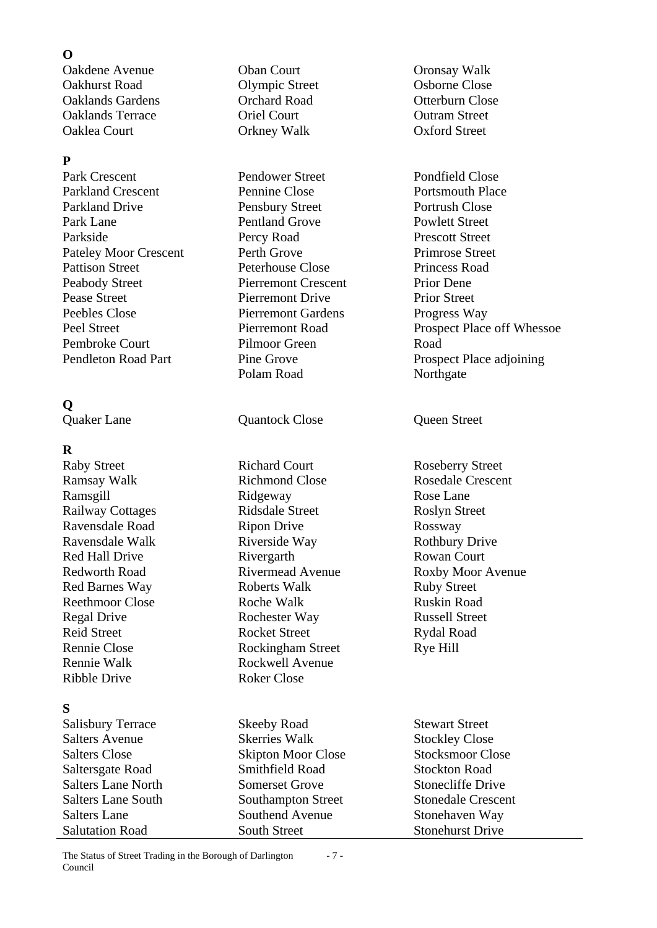## **O**

Oakdene Avenue Oban Court Oronsay Walk Oakhurst Road Clympic Street Osborne Close Oaklands Gardens Orchard Road Otterburn Close Oaklands Terrace Oriel Court Outram Street Oaklea Court Orkney Walk Oxford Street

## **P**

Park Crescent Pendower Street Pondfield Close Parkland Crescent Pennine Close Portsmouth Place Parkland Drive **Pensbury Street** Portrush Close Park Lane Pentland Grove Powlett Street Parkside Percy Road Prescott Street Pateley Moor Crescent Perth Grove Primrose Street Pattison Street Peterhouse Close Princess Road Peabody Street Pierremont Crescent Prior Dene Pease Street Pierremont Drive Prior Street Peebles Close Pierremont Gardens Progress Way Pembroke Court Pilmoor Green Road

## **Q**

## **R**

Raby Street Richard Court Roseberry Street Ramsay Walk Richmond Close Rosedale Crescent Ramsgill Ridgeway Rose Lane Railway Cottages Ridsdale Street Roslyn Street Ravensdale Road Ripon Drive Rossway Ravensdale Walk Riverside Way Rothbury Drive Red Hall Drive Rivergarth Rowan Court Redworth Road Rivermead Avenue Roxby Moor Avenue Red Barnes Way **Roberts Walk** Ruby Street Reethmoor Close Roche Walk Ruskin Road Regal Drive Rochester Way Russell Street Reid Street Rocket Street Rydal Road Rennie Close Rockingham Street Rye Hill Rennie Walk Rockwell Avenue Ribble Drive Roker Close

## **S**

Salisbury Terrace Skeeby Road Stewart Street Salters Avenue Skerries Walk Stockley Close Salters Close Skipton Moor Close Stocksmoor Close<br>Salters ate Road Smithfield Road Stockton Road Saltersgate Road Smithfield Road Salters Lane North Somerset Grove Stonecliffe Drive Salters Lane South Southampton Street Stonedale Crescent Salters Lane Southend Avenue Stonehaven Way Salutation Road South Street Stonehurst Drive

Polam Road Northgate

**Ouaker Lane COUAL COUAL OUAL COUAL COUAL COUAL COUAL COUAL COUAL COUAL COUAL COUAL COUAL COUAL COUAL COUAL COUAL COUAL COUAL COUAL COUAL COUAL COUAL COUAL COUAL COUAL**

Peel Street Pierremont Road Prospect Place off Whessoe Pendleton Road Part Pine Grove Prospect Place adjoining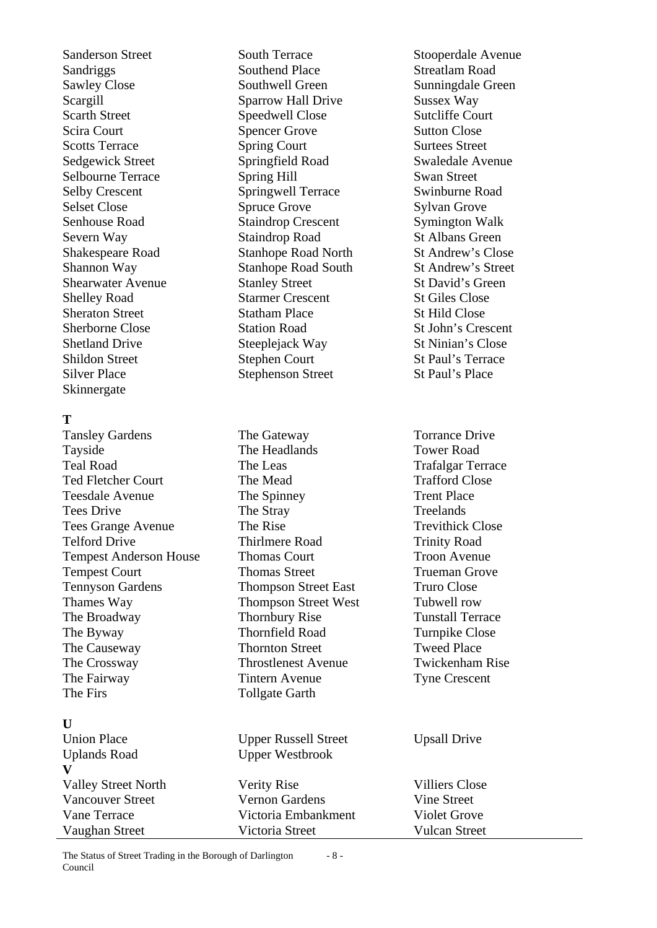Sandriggs Southend Place Streatlam Road Sawley Close Southwell Green Sunningdale Green Scargill Sparrow Hall Drive Sussex Way Scarth Street Speedwell Close Sutcliffe Court Scira Court Spencer Grove Sutton Close Scotts Terrace Spring Court Surtees Street Sedgewick Street Springfield Road Swaledale Avenue Selbourne Terrace Spring Hill Swan Street Selby Crescent Springwell Terrace Swinburne Road Selset Close Spruce Grove Sylvan Grove Senhouse Road Staindrop Crescent Symington Walk<br>Severn Way Staindrop Road St Albans Green Severn Way Staindrop Road Shakespeare Road Stanhope Road North St Andrew's Close Shannon Way Stanhope Road South St Andrew's Street Shearwater Avenue Stanley Street Street St David's Green Shelley Road Starmer Crescent St Giles Close Sheraton Street Statham Place Steret States Steret Steret States Steret Steret Steret Steret Steret Steret Steret Steret Steret Steret Steret Steret Steret Steret Steret Steret Steret Steret Steret Steret Steret Steret Ste Sherborne Close Station Road St John's Crescent Shetland Drive Steeplejack Way St Ninian's Close Shildon Street Stephen Court St Paul's Terrace Silver Place Stephenson Street St Paul's Place Skinnergate

### **T**

Tansley Gardens The Gateway Torrance Drive Tayside The Headlands Tower Road Teal Road The Leas Trafalgar Terrace Ted Fletcher Court The Mead Trafford Close Teesdale Avenue The Spinney Trent Place Tees Drive The Stray Treelands Tees Grange Avenue The Rise Trevithick Close Telford Drive Thirlmere Road Trinity Road Tempest Anderson House Thomas Court Troon Avenue Tempest Court Thomas Street Trueman Grove Tennyson Gardens Thompson Street East Truro Close Thames Way Thompson Street West Tubwell row The Broadway Thornbury Rise Tunstall Terrace The Byway Thornfield Road Turnpike Close The Causeway Thornton Street Tweed Place The Crossway Throstlenest Avenue Twickenham Rise The Fairway Tintern Avenue Tyne Crescent The Firs Tollgate Garth **U**  Union Place Upper Russell Street Upsall Drive Uplands Road Upper Westbrook **V**  Valley Street North Verity Rise Villiers Close Vancouver Street Vernon Gardens Vine Street Vane Terrace Victoria Embankment Violet Grove Vaughan Street Victoria Street Vulcan Street

The Status of Street Trading in the Borough of Darlington Council - 8 -

Sanderson Street South Terrace Stooperdale Avenue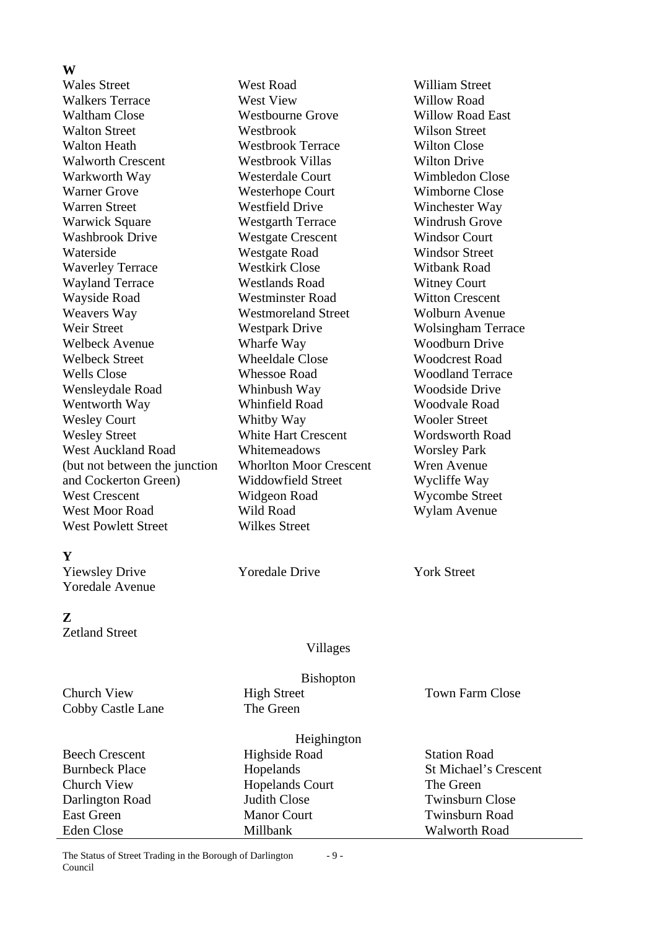Wales Street West Road William Street Walkers Terrace West View Willow Road Waltham Close **Westbourne Grove** Willow Road East Walton Street Westbrook Wilson Street Walton Heath Westbrook Terrace Wilton Close Walworth Crescent Westbrook Villas Wilton Drive Warkworth Way Westerdale Court Wimbledon Close Warner Grove **Westerhope Court** Wimborne Close Warren Street **Westfield Drive Winchester Way** Warwick Square Westgarth Terrace Windrush Grove Washbrook Drive Westgate Crescent Windsor Court Waterside Westgate Road Windsor Street Waverley Terrace Westkirk Close Witbank Road Wayland Terrace Westlands Road Witney Court Wayside Road Westminster Road Witton Crescent Weavers Way Westmoreland Street Wolburn Avenue Weir Street **Westpark Drive Wolsingham Terrace** Welbeck Avenue Wharfe Way Woodburn Drive Welbeck Street Wheeldale Close Woodcrest Road Wells Close Whessoe Road Woodland Terrace Wensleydale Road Whinbush Way Woodside Drive Wentworth Way **Whinfield Road** Woodvale Road Wesley Court Whitby Way Wooler Street Wesley Street White Hart Crescent Wordsworth Road West Auckland Road Whitemeadows Worsley Park<br>
(but not between the junction Whorlton Moor Crescent Wren Avenue (but not between the junction Whorlton Moor Crescent) and Cockerton Green) Widdowfield Street Wycliffe Way West Crescent Widgeon Road Wycombe Street West Moor Road Wild Road Wild Road Wylam Avenue West Powlett Street Wilkes Street **Y** 

Yiewsley Drive Yoredale Drive York Street Yoredale Avenue

### **Z**

Zetland Street

Villages

Bishopton

Heighington

Church View High Street Town Farm Close Cobby Castle Lane The Green

Beech Crescent Highside Road Station Road Church View Hopelands Court The Green East Green Manor Court Twinsburn Road Eden Close Millbank Millbank Walworth Road

The Status of Street Trading in the Borough of Darlington Council - 9 -

Burnbeck Place Hopelands Hopelands St Michael's Crescent Darlington Road Judith Close Twinsburn Close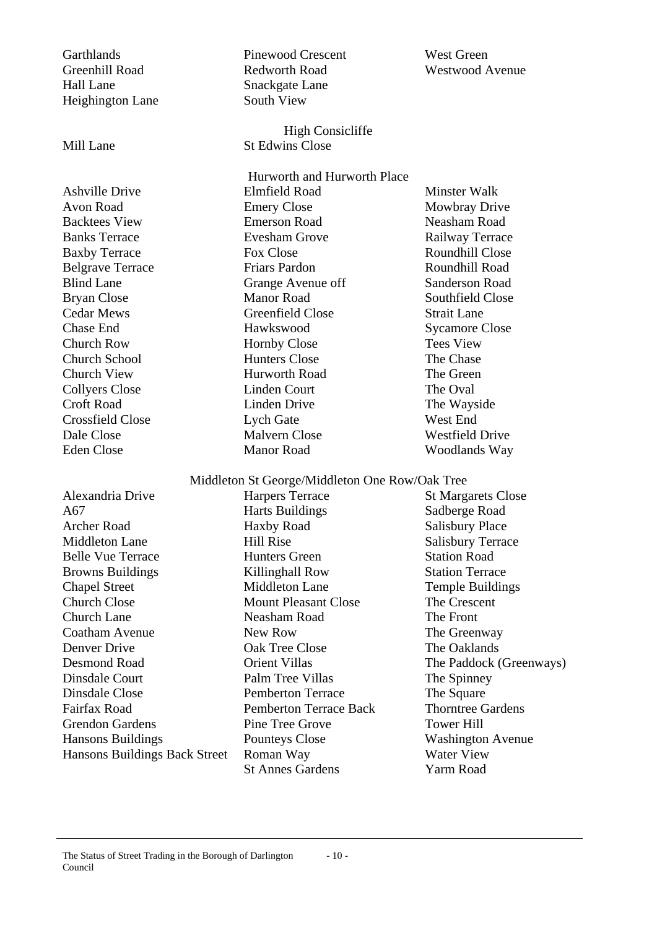Garthlands Pinewood Crescent West Green Greenhill Road Redworth Road Westwood Avenue Hall Lane Snackgate Lane Heighington Lane South View High Consicliffe Mill Lane St Edwins Close Hurworth and Hurworth Place Ashville Drive **Elmfield Road** Minster Walk Avon Road **Emery Close** Mowbray Drive Backtees View **Emerson Road** Neasham Road Neasham Road Banks Terrace Evesham Grove Railway Terrace Baxby Terrace Fox Close Fox Close Roundhill Close Belgrave Terrace Friars Pardon Roundhill Road Blind Lane Grange Avenue off Sanderson Road Bryan Close Manor Road Southfield Close Cedar Mews Greenfield Close Strait Lane **Chase End** Hawkswood Sycamore Close Church Row Hornby Close Tees View Church School **Hunters Close** The Chase Church View Hurworth Road The Green Collyers Close Linden Court The Oval Croft Road Linden Drive The Wayside Crossfield Close Lych Gate West End Dale Close Malvern Close Westfield Drive Eden Close Manor Road Woodlands Way Middleton St George/Middleton One Row/Oak Tree Alexandria Drive Harpers Terrace St Margarets Close A67 **Harts Buildings** Sadberge Road Archer Road Haxby Road Salisbury Place Middleton Lane Hill Rise Salisbury Terrace Belle Vue Terrace Hunters Green Station Road Browns Buildings Killinghall Row Station Terrace Chapel Street Middleton Lane Temple Buildings Church Close Mount Pleasant Close The Crescent Church Lane Neasham Road The Front Coatham Avenue New Row New Row The Greenway Denver Drive Oak Tree Close The Oaklands Desmond Road Crient Villas The Paddock (Greenways) Dinsdale Court Palm Tree Villas The Spinney Dinsdale Close **Pemberton Terrace** The Square Fairfax Road Pemberton Terrace Back Thorntree Gardens Grendon Gardens **Pine Tree Grove** Tower Hill Hansons Buildings Pounteys Close Washington Avenue Hansons Buildings Back Street Roman Way Water View St Annes Gardens Yarm Road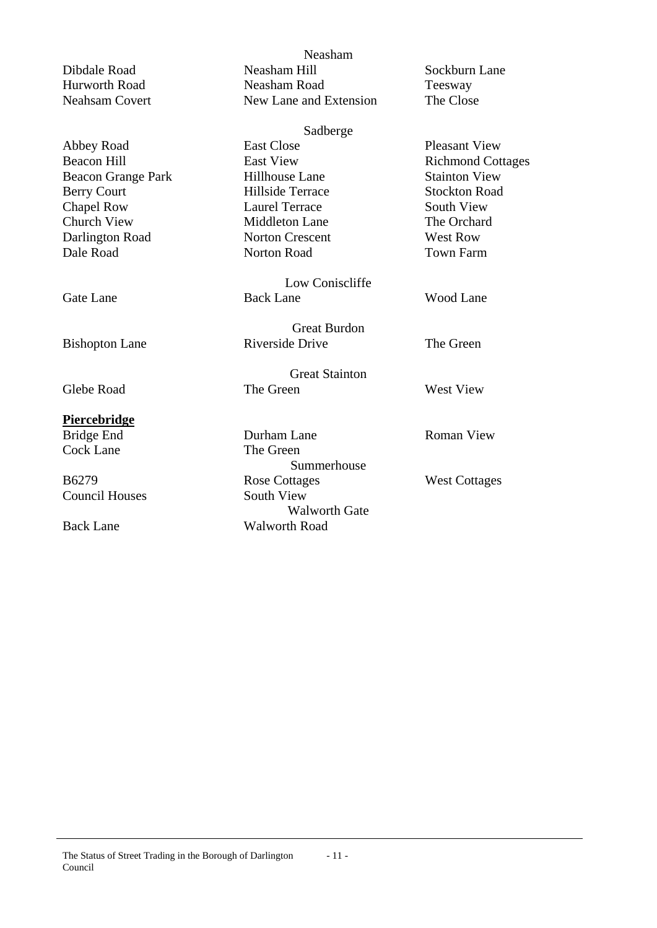Abbey Road East Close Pleasant View<br>
Beacon Hill East View Richmond Cot Beacon Hill East View Richmond Cottages Beacon Grange Park Hillhouse Lane Stainton View Berry Court **Hillside Terrace** Stockton Road Chapel Row Laurel Terrace South View Church View Middleton Lane The Orchard<br>
Darlington Road Norton Crescent West Row Darlington Road Norton Crescent Dale Road Norton Road Town Farm

## **Piercebridge**

Cock Lane The Green

Council Houses South View

Neasham Dibdale Road Neasham Hill Sockburn Lane Hurworth Road Neasham Road Teesway Neahsam Covert New Lane and Extension The Close

Sadberge

Low Coniscliffe Gate Lane Back Lane Wood Lane

Great Burdon Bishopton Lane Riverside Drive The Green

Great Stainton Glebe Road The Green West View

Bridge End Durham Lane Roman View Summerhouse B6279 Rose Cottages West Cottages Walworth Gate Back Lane Walworth Road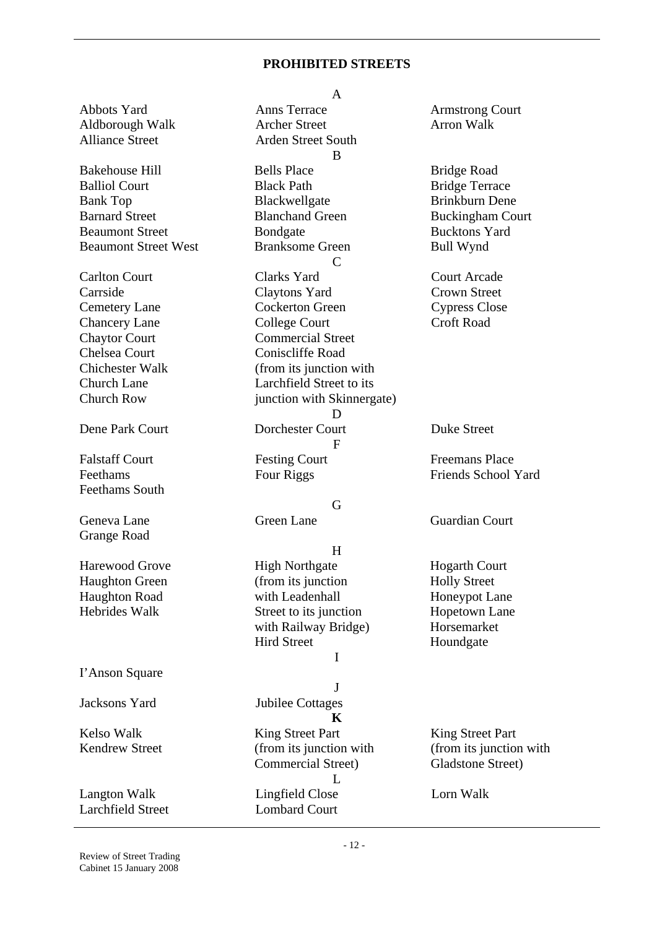#### **PROHIBITED STREETS**

Abbots Yard Anns Terrace Armstrong Court Aldborough Walk Archer Street Arron Walk Alliance Street **Arden** Street South Bakehouse Hill Bells Place Bridge Road Balliol Court **Black Path** Black Path **Bridge Terrace** Bank Top Blackwellgate Brinkburn Dene Barnard Street Blanchand Green Buckingham Court Beaumont Street Bondgate Bondgate Bucktons Yard Beaumont Street West Branksome Green Bull Wynd Carlton Court Clarks Yard Court Arcade Carrside Claytons Yard Crown Street Cemetery Lane Cockerton Green Cypress Close Chancery Lane College Court Croft Road Chaytor Court Commercial Street Chelsea Court Coniscliffe Road Chichester Walk (from its junction with Church Lane Larchfield Street to its Church Row junction with Skinnergate) Dene Park Court Dorchester Court Duke Street Falstaff Court Festing Court Freemans Place Feethams Four Riggs Friends School Yard Feethams South Geneva Lane Green Lane Guardian Court Grange Road Harewood Grove High Northgate Hogarth Court Haughton Green (from its junction Holly Street Haughton Road with Leadenhall Honeypot Lane Hebrides Walk Street to its junction Hopetown Lane I'Anson Square Jacksons Yard Jubilee Cottages Kelso Walk **King Street Part** King Street Part King Street Part Kendrew Street (from its junction with Langton Walk Lingfield Close Lorn Walk

A B  $\mathcal{C}$ D F

### G

## H

with Railway Bridge) Horsemarket Hird Street Houndgate

# I

J

**K**  Commercial Street)  $\mathbf{L}$ 

Larchfield Street Lombard Court

(from its junction with Gladstone Street)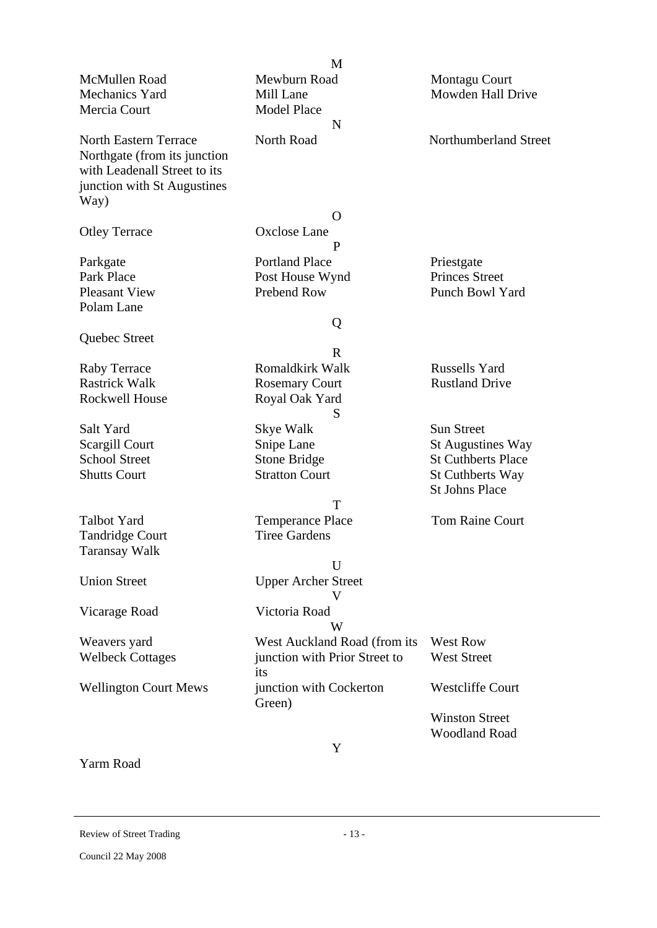|                                                                                                                             | M                             |                           |
|-----------------------------------------------------------------------------------------------------------------------------|-------------------------------|---------------------------|
| McMullen Road                                                                                                               | Mewburn Road                  | Montagu Court             |
| Mechanics Yard                                                                                                              | Mill Lane                     | Mowden Hall Drive         |
| Mercia Court                                                                                                                | <b>Model Place</b>            |                           |
|                                                                                                                             | N                             |                           |
| <b>North Eastern Terrace</b><br>Northgate (from its junction<br>with Leadenall Street to its<br>junction with St Augustines | North Road                    | Northumberland Street     |
| Way)                                                                                                                        |                               |                           |
|                                                                                                                             | O                             |                           |
| <b>Otley Terrace</b>                                                                                                        | <b>Oxclose Lane</b>           |                           |
|                                                                                                                             | P                             |                           |
| Parkgate                                                                                                                    | <b>Portland Place</b>         | Priestgate                |
| Park Place                                                                                                                  | Post House Wynd               | <b>Princes Street</b>     |
| <b>Pleasant View</b>                                                                                                        | Prebend Row                   | Punch Bowl Yard           |
| Polam Lane                                                                                                                  |                               |                           |
|                                                                                                                             | Q                             |                           |
| Quebec Street                                                                                                               |                               |                           |
|                                                                                                                             | R                             |                           |
| <b>Raby Terrace</b>                                                                                                         | Romaldkirk Walk               | <b>Russells Yard</b>      |
| <b>Rastrick Walk</b>                                                                                                        | <b>Rosemary Court</b>         | <b>Rustland Drive</b>     |
| <b>Rockwell House</b>                                                                                                       | Royal Oak Yard                |                           |
|                                                                                                                             | S                             |                           |
| Salt Yard                                                                                                                   | Skye Walk                     | <b>Sun Street</b>         |
| Scargill Court                                                                                                              | Snipe Lane                    | <b>St Augustines Way</b>  |
| <b>School Street</b>                                                                                                        | <b>Stone Bridge</b>           | <b>St Cuthberts Place</b> |
| <b>Shutts Court</b>                                                                                                         | <b>Stratton Court</b>         | <b>St Cuthberts Way</b>   |
|                                                                                                                             |                               | <b>St Johns Place</b>     |
|                                                                                                                             | T                             |                           |
| <b>Talbot Yard</b>                                                                                                          |                               | <b>Tom Raine Court</b>    |
|                                                                                                                             | <b>Temperance Place</b>       |                           |
| Tandridge Court                                                                                                             | <b>Tiree Gardens</b>          |                           |
| <b>Taransay Walk</b>                                                                                                        |                               |                           |
|                                                                                                                             | U                             |                           |
| <b>Union Street</b>                                                                                                         | <b>Upper Archer Street</b>    |                           |
| Vicarage Road                                                                                                               | Victoria Road                 |                           |
|                                                                                                                             | W                             |                           |
| Weavers yard                                                                                                                | West Auckland Road (from its  | West Row                  |
| <b>Welbeck Cottages</b>                                                                                                     | junction with Prior Street to | <b>West Street</b>        |
|                                                                                                                             | its                           |                           |
| <b>Wellington Court Mews</b>                                                                                                | junction with Cockerton       | <b>Westcliffe Court</b>   |
|                                                                                                                             | Green)                        |                           |
|                                                                                                                             |                               | <b>Winston Street</b>     |
|                                                                                                                             |                               | <b>Woodland Road</b>      |
|                                                                                                                             | Y                             |                           |

Yarm Road

Review of Street Trading - 13 -